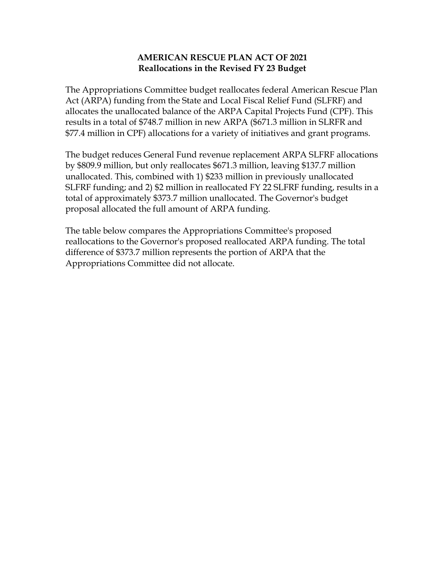## **AMERICAN RESCUE PLAN ACT OF 2021 Reallocations in the Revised FY 23 Budget**

The Appropriations Committee budget reallocates federal American Rescue Plan Act (ARPA) funding from the State and Local Fiscal Relief Fund (SLFRF) and allocates the unallocated balance of the ARPA Capital Projects Fund (CPF). This results in a total of \$748.7 million in new ARPA (\$671.3 million in SLRFR and \$77.4 million in CPF) allocations for a variety of initiatives and grant programs.

The budget reduces General Fund revenue replacement ARPA SLFRF allocations by \$809.9 million, but only reallocates \$671.3 million, leaving \$137.7 million unallocated. This, combined with 1) \$233 million in previously unallocated SLFRF funding; and 2) \$2 million in reallocated FY 22 SLFRF funding, results in a total of approximately \$373.7 million unallocated. The Governor's budget proposal allocated the full amount of ARPA funding.

The table below compares the Appropriations Committee's proposed reallocations to the Governor's proposed reallocated ARPA funding. The total difference of \$373.7 million represents the portion of ARPA that the Appropriations Committee did not allocate.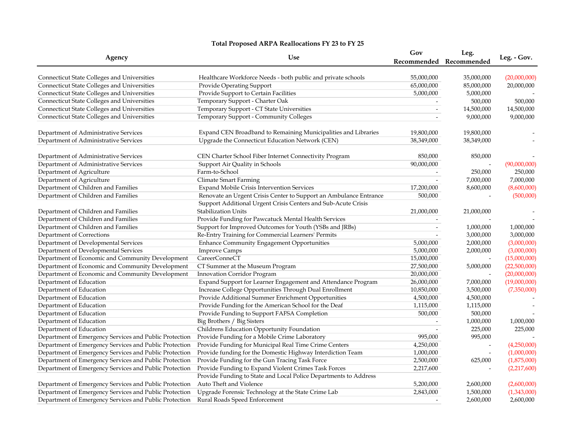## **Total Proposed ARPA Reallocations FY 23 to FY 25**

| Agency                                                 | <b>Use</b>                                                        | Gov                      | Leg.<br>Recommended Recommended | Leg. - Gov.  |
|--------------------------------------------------------|-------------------------------------------------------------------|--------------------------|---------------------------------|--------------|
|                                                        |                                                                   |                          |                                 |              |
| Connecticut State Colleges and Universities            | Healthcare Workforce Needs - both public and private schools      | 55,000,000               | 35,000,000                      | (20,000,000) |
| <b>Connecticut State Colleges and Universities</b>     | Provide Operating Support                                         | 65,000,000               | 85,000,000                      | 20,000,000   |
| <b>Connecticut State Colleges and Universities</b>     | Provide Support to Certain Facilities                             | 5,000,000                | 5,000,000                       |              |
| <b>Connecticut State Colleges and Universities</b>     | Temporary Support - Charter Oak                                   |                          | 500,000                         | 500,000      |
| <b>Connecticut State Colleges and Universities</b>     | Temporary Support - CT State Universities                         | $\overline{\phantom{a}}$ | 14,500,000                      | 14,500,000   |
| <b>Connecticut State Colleges and Universities</b>     | Temporary Support - Community Colleges                            |                          | 9,000,000                       | 9,000,000    |
| Department of Administrative Services                  | Expand CEN Broadband to Remaining Municipalities and Libraries    | 19,800,000               | 19,800,000                      |              |
| Department of Administrative Services                  | Upgrade the Connecticut Education Network (CEN)                   | 38,349,000               | 38,349,000                      |              |
| Department of Administrative Services                  | CEN Charter School Fiber Internet Connectivity Program            | 850,000                  | 850,000                         |              |
| Department of Administrative Services                  | Support Air Quality in Schools                                    | 90,000,000               |                                 | (90,000,000) |
| Department of Agriculture                              | Farm-to-School                                                    |                          | 250,000                         | 250,000      |
| Department of Agriculture                              | Climate Smart Farming                                             |                          | 7,000,000                       | 7,000,000    |
| Department of Children and Families                    | Expand Mobile Crisis Intervention Services                        | 17,200,000               | 8,600,000                       | (8,600,000)  |
| Department of Children and Families                    | Renovate an Urgent Crisis Center to Support an Ambulance Entrance | 500,000                  |                                 | (500,000)    |
|                                                        | Support Additional Urgent Crisis Centers and Sub-Acute Crisis     |                          |                                 |              |
| Department of Children and Families                    | <b>Stabilization Units</b>                                        | 21,000,000               | 21,000,000                      |              |
| Department of Children and Families                    | Provide Funding for Pawcatuck Mental Health Services              |                          |                                 |              |
| Department of Children and Families                    | Support for Improved Outcomes for Youth (YSBs and JRBs)           | $\overline{\phantom{a}}$ | 1,000,000                       | 1,000,000    |
| Department of Corrections                              | Re-Entry Training for Commercial Learners' Permits                |                          | 3,000,000                       | 3,000,000    |
| Department of Developmental Services                   | <b>Enhance Community Engagement Opportunities</b>                 | 5,000,000                | 2,000,000                       | (3,000,000)  |
| Department of Developmental Services                   | <b>Improve Camps</b>                                              | 5,000,000                | 2,000,000                       | (3,000,000)  |
| Department of Economic and Community Development       | CareerConneCT                                                     | 15,000,000               |                                 | (15,000,000) |
| Department of Economic and Community Development       | CT Summer at the Museum Program                                   | 27,500,000               | 5,000,000                       | (22,500,000) |
| Department of Economic and Community Development       | Innovation Corridor Program                                       | 20,000,000               |                                 | (20,000,000) |
| Department of Education                                | Expand Support for Learner Engagement and Attendance Program      | 26,000,000               | 7,000,000                       | (19,000,000) |
| Department of Education                                | Increase College Opportunities Through Dual Enrollment            | 10,850,000               | 3,500,000                       | (7,350,000)  |
| Department of Education                                | Provide Additional Summer Enrichment Opportunities                | 4,500,000                | 4,500,000                       |              |
| Department of Education                                | Provide Funding for the American School for the Deaf              | 1,115,000                | 1,115,000                       |              |
| Department of Education                                | Provide Funding to Support FAFSA Completion                       | 500,000                  | 500,000                         |              |
| Department of Education                                | Big Brothers / Big Sisters                                        |                          | 1,000,000                       | 1,000,000    |
| Department of Education                                | Childrens Education Opportunity Foundation                        |                          | 225,000                         | 225,000      |
| Department of Emergency Services and Public Protection | Provide Funding for a Mobile Crime Laboratory                     | 995,000                  | 995,000                         |              |
| Department of Emergency Services and Public Protection | Provide Funding for Municipal Real Time Crime Centers             | 4,250,000                |                                 | (4,250,000)  |
| Department of Emergency Services and Public Protection | Provide funding for the Domestic Highway Interdiction Team        | 1,000,000                |                                 | (1,000,000)  |
| Department of Emergency Services and Public Protection | Provide Funding for the Gun Tracing Task Force                    | 2,500,000                | 625,000                         | (1,875,000)  |
| Department of Emergency Services and Public Protection | Provide Funding to Expand Violent Crimes Task Forces              | 2,217,600                |                                 | (2,217,600)  |
|                                                        | Provide Funding to State and Local Police Departments to Address  |                          |                                 |              |
| Department of Emergency Services and Public Protection | Auto Theft and Violence                                           | 5,200,000                | 2,600,000                       | (2,600,000)  |
| Department of Emergency Services and Public Protection | Upgrade Forensic Technology at the State Crime Lab                | 2,843,000                | 1,500,000                       | (1,343,000)  |
| Department of Emergency Services and Public Protection | Rural Roads Speed Enforcement                                     |                          | 2,600,000                       | 2,600,000    |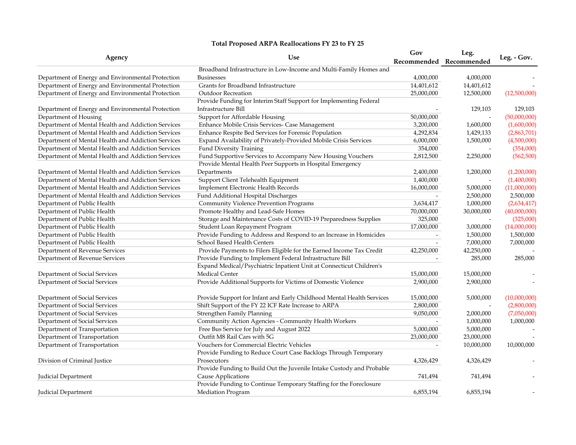## **Total Proposed ARPA Reallocations FY 23 to FY 25**

| Agency                                             | <b>Use</b>                                                            | Gov                      | Leg.                     | Leg. - Gov.  |
|----------------------------------------------------|-----------------------------------------------------------------------|--------------------------|--------------------------|--------------|
|                                                    |                                                                       |                          | Recommended Recommended  |              |
|                                                    | Broadband Infrastructure in Low-Income and Multi-Family Homes and     |                          |                          |              |
| Department of Energy and Environmental Protection  | <b>Businesses</b>                                                     | 4,000,000                | 4,000,000                |              |
| Department of Energy and Environmental Protection  | Grants for Broadband Infrastructure                                   | 14,401,612               | 14,401,612               |              |
| Department of Energy and Environmental Protection  | <b>Outdoor Recreation</b>                                             | 25,000,000               | 12,500,000               | (12,500,000) |
|                                                    | Provide Funding for Interim Staff Support for Implementing Federal    |                          |                          |              |
| Department of Energy and Environmental Protection  | Infrastructure Bill                                                   |                          | 129,103                  | 129,103      |
| Department of Housing                              | Support for Affordable Housing                                        | 50,000,000               | $\overline{\phantom{a}}$ | (50,000,000) |
| Department of Mental Health and Addiction Services | Enhance Mobile Crisis Services- Case Management                       | 3,200,000                | 1,600,000                | (1,600,000)  |
| Department of Mental Health and Addiction Services | Enhance Respite Bed Services for Forensic Population                  | 4,292,834                | 1,429,133                | (2,863,701)  |
| Department of Mental Health and Addiction Services | Expand Availability of Privately-Provided Mobile Crisis Services      | 6,000,000                | 1,500,000                | (4,500,000)  |
| Department of Mental Health and Addiction Services | Fund Diversity Training                                               | 354,000                  |                          | (354,000)    |
| Department of Mental Health and Addiction Services | Fund Supportive Services to Accompany New Housing Vouchers            | 2,812,500                | 2,250,000                | (562, 500)   |
|                                                    | Provide Mental Health Peer Supports in Hospital Emergency             |                          |                          |              |
| Department of Mental Health and Addiction Services | Departments                                                           | 2,400,000                | 1,200,000                | (1,200,000)  |
| Department of Mental Health and Addiction Services | Support Client Telehealth Equipment                                   | 1,400,000                |                          | (1,400,000)  |
| Department of Mental Health and Addiction Services | Implement Electronic Health Records                                   | 16,000,000               | 5,000,000                | (11,000,000) |
| Department of Mental Health and Addiction Services | Fund Additional Hospital Discharges                                   | $\overline{\phantom{a}}$ | 2,500,000                | 2,500,000    |
| Department of Public Health                        | Community Violence Prevention Programs                                | 3,634,417                | 1,000,000                | (2,634,417)  |
| Department of Public Health                        | Promote Healthy and Lead-Safe Homes                                   | 70,000,000               | 30,000,000               | (40,000,000) |
| Department of Public Health                        | Storage and Maintenance Costs of COVID-19 Preparedness Supplies       | 325,000                  | $\overline{\phantom{a}}$ | (325,000)    |
| Department of Public Health                        | Student Loan Repayment Program                                        | 17,000,000               | 3,000,000                | (14,000,000) |
| Department of Public Health                        | Provide Funding to Address and Respond to an Increase in Homicides    |                          | 1,500,000                | 1,500,000    |
| Department of Public Health                        | School Based Health Centers                                           |                          | 7,000,000                | 7,000,000    |
| Department of Revenue Services                     | Provide Payments to Filers Eligible for the Earned Income Tax Credit  | 42,250,000               | 42,250,000               |              |
| Department of Revenue Services                     | Provide Funding to Implement Federal Infrastructure Bill              |                          | 285,000                  | 285,000      |
|                                                    | Expand Medical/Psychiatric Inpatient Unit at Connecticut Children's   |                          |                          |              |
| Department of Social Services                      | <b>Medical Center</b>                                                 | 15,000,000               | 15,000,000               |              |
| Department of Social Services                      | Provide Additional Supports for Victims of Domestic Violence          | 2,900,000                | 2,900,000                |              |
|                                                    |                                                                       |                          |                          |              |
| Department of Social Services                      | Provide Support for Infant and Early Childhood Mental Health Services | 15,000,000               | 5,000,000                | (10,000,000) |
| Department of Social Services                      | Shift Support of the FY 22 ICF Rate Increase to ARPA                  | 2,800,000                |                          | (2,800,000)  |
| Department of Social Services                      | Strengthen Family Planning                                            | 9,050,000                | 2,000,000                | (7,050,000)  |
| Department of Social Services                      | Community Action Agencies - Community Health Workers                  |                          | 1,000,000                | 1,000,000    |
| Department of Transportation                       | Free Bus Service for July and August 2022                             | 5,000,000                | 5,000,000                |              |
| Department of Transportation                       | Outfit M8 Rail Cars with 5G                                           | 23,000,000               | 23,000,000               |              |
| Department of Transportation                       | Vouchers for Commercial Electric Vehicles                             |                          | 10,000,000               | 10,000,000   |
|                                                    | Provide Funding to Reduce Court Case Backlogs Through Temporary       |                          |                          |              |
| Division of Criminal Justice                       | Prosecutors                                                           | 4,326,429                | 4,326,429                |              |
|                                                    | Provide Funding to Build Out the Juvenile Intake Custody and Probable |                          |                          |              |
| Judicial Department                                | Cause Applications                                                    | 741,494                  | 741,494                  |              |
|                                                    | Provide Funding to Continue Temporary Staffing for the Foreclosure    |                          |                          |              |
| Judicial Department                                | Mediation Program                                                     | 6,855,194                | 6,855,194                |              |
|                                                    |                                                                       |                          |                          |              |